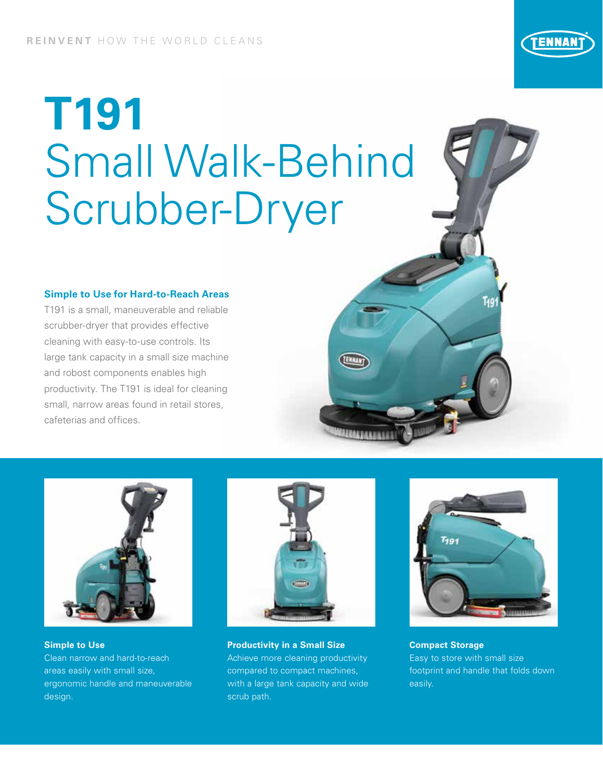# **T191** Small Walk-Behind Scrubber-Dryer

#### **Simple to Use for Hard-to-Reach Areas**

T191 is a small, maneuverable and reliable scrubber-dryer that provides effective cleaning with easy-to-use controls. Its large tank capacity in a small size machine and robost components enables high productivity. The T191 is ideal for cleaning small, narrow areas found in retail stores, cafeterias and offices.



**Simple to Use**  Clean narrow and hard-to-reach areas easily with small size, ergonomic handle and maneuverable design.



**Productivity in a Small Size** Achieve more cleaning productivity compared to compact machines, with a large tank capacity and wide scrub path.



**Compact Storage** Easy to store with small size footprint and handle that folds down easily.